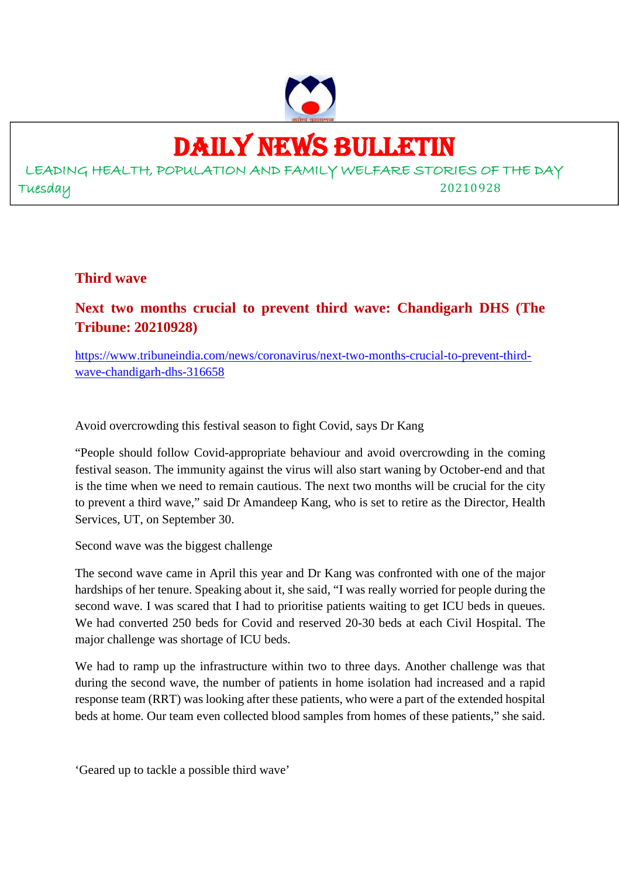

## DAILY NEWS BULLETIN

LEADING HEALTH, POPULATION AND FAMILY WELFARE STORIES OF THE DAY Tuesday 20210928

### **Third wave**

### **Next two months crucial to prevent third wave: Chandigarh DHS (The Tribune: 20210928)**

https://www.tribuneindia.com/news/coronavirus/next-two-months-crucial-to-prevent-thirdwave-chandigarh-dhs-316658

Avoid overcrowding this festival season to fight Covid, says Dr Kang

"People should follow Covid-appropriate behaviour and avoid overcrowding in the coming festival season. The immunity against the virus will also start waning by October-end and that is the time when we need to remain cautious. The next two months will be crucial for the city to prevent a third wave," said Dr Amandeep Kang, who is set to retire as the Director, Health Services, UT, on September 30.

Second wave was the biggest challenge

The second wave came in April this year and Dr Kang was confronted with one of the major hardships of her tenure. Speaking about it, she said, "I was really worried for people during the second wave. I was scared that I had to prioritise patients waiting to get ICU beds in queues. We had converted 250 beds for Covid and reserved 20-30 beds at each Civil Hospital. The major challenge was shortage of ICU beds.

We had to ramp up the infrastructure within two to three days. Another challenge was that during the second wave, the number of patients in home isolation had increased and a rapid response team (RRT) was looking after these patients, who were a part of the extended hospital beds at home. Our team even collected blood samples from homes of these patients," she said.

'Geared up to tackle a possible third wave'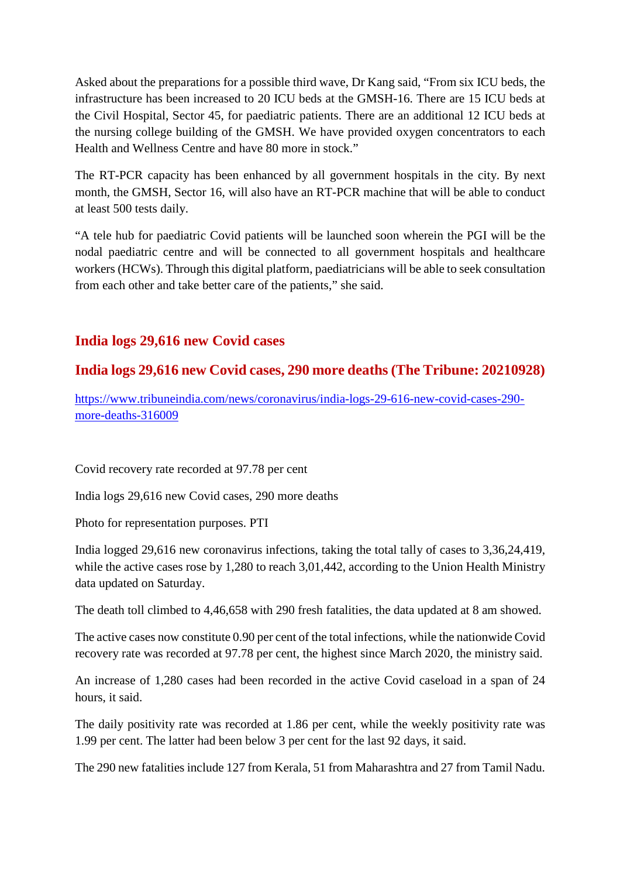Asked about the preparations for a possible third wave, Dr Kang said, "From six ICU beds, the infrastructure has been increased to 20 ICU beds at the GMSH-16. There are 15 ICU beds at the Civil Hospital, Sector 45, for paediatric patients. There are an additional 12 ICU beds at the nursing college building of the GMSH. We have provided oxygen concentrators to each Health and Wellness Centre and have 80 more in stock."

The RT-PCR capacity has been enhanced by all government hospitals in the city. By next month, the GMSH, Sector 16, will also have an RT-PCR machine that will be able to conduct at least 500 tests daily.

"A tele hub for paediatric Covid patients will be launched soon wherein the PGI will be the nodal paediatric centre and will be connected to all government hospitals and healthcare workers (HCWs). Through this digital platform, paediatricians will be able to seek consultation from each other and take better care of the patients," she said.

### **India logs 29,616 new Covid cases**

### **India logs 29,616 new Covid cases, 290 more deaths (The Tribune: 20210928)**

https://www.tribuneindia.com/news/coronavirus/india-logs-29-616-new-covid-cases-290 more-deaths-316009

Covid recovery rate recorded at 97.78 per cent

India logs 29,616 new Covid cases, 290 more deaths

Photo for representation purposes. PTI

India logged 29,616 new coronavirus infections, taking the total tally of cases to 3,36,24,419, while the active cases rose by 1,280 to reach 3,01,442, according to the Union Health Ministry data updated on Saturday.

The death toll climbed to 4,46,658 with 290 fresh fatalities, the data updated at 8 am showed.

The active cases now constitute 0.90 per cent of the total infections, while the nationwide Covid recovery rate was recorded at 97.78 per cent, the highest since March 2020, the ministry said.

An increase of 1,280 cases had been recorded in the active Covid caseload in a span of 24 hours, it said.

The daily positivity rate was recorded at 1.86 per cent, while the weekly positivity rate was 1.99 per cent. The latter had been below 3 per cent for the last 92 days, it said.

The 290 new fatalities include 127 from Kerala, 51 from Maharashtra and 27 from Tamil Nadu.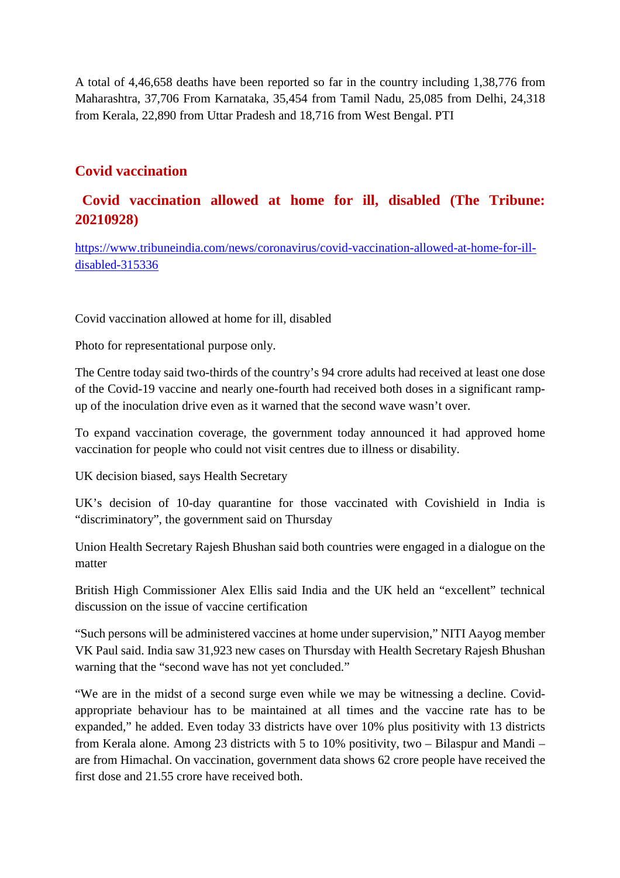A total of 4,46,658 deaths have been reported so far in the country including 1,38,776 from Maharashtra, 37,706 From Karnataka, 35,454 from Tamil Nadu, 25,085 from Delhi, 24,318 from Kerala, 22,890 from Uttar Pradesh and 18,716 from West Bengal. PTI

### **Covid vaccination**

### **Covid vaccination allowed at home for ill, disabled (The Tribune: 20210928)**

https://www.tribuneindia.com/news/coronavirus/covid-vaccination-allowed-at-home-for-illdisabled-315336

Covid vaccination allowed at home for ill, disabled

Photo for representational purpose only.

The Centre today said two-thirds of the country's 94 crore adults had received at least one dose of the Covid-19 vaccine and nearly one-fourth had received both doses in a significant rampup of the inoculation drive even as it warned that the second wave wasn't over.

To expand vaccination coverage, the government today announced it had approved home vaccination for people who could not visit centres due to illness or disability.

UK decision biased, says Health Secretary

UK's decision of 10-day quarantine for those vaccinated with Covishield in India is "discriminatory", the government said on Thursday

Union Health Secretary Rajesh Bhushan said both countries were engaged in a dialogue on the matter

British High Commissioner Alex Ellis said India and the UK held an "excellent" technical discussion on the issue of vaccine certification

"Such persons will be administered vaccines at home under supervision," NITI Aayog member VK Paul said. India saw 31,923 new cases on Thursday with Health Secretary Rajesh Bhushan warning that the "second wave has not yet concluded."

"We are in the midst of a second surge even while we may be witnessing a decline. Covidappropriate behaviour has to be maintained at all times and the vaccine rate has to be expanded," he added. Even today 33 districts have over 10% plus positivity with 13 districts from Kerala alone. Among 23 districts with 5 to 10% positivity, two – Bilaspur and Mandi – are from Himachal. On vaccination, government data shows 62 crore people have received the first dose and 21.55 crore have received both.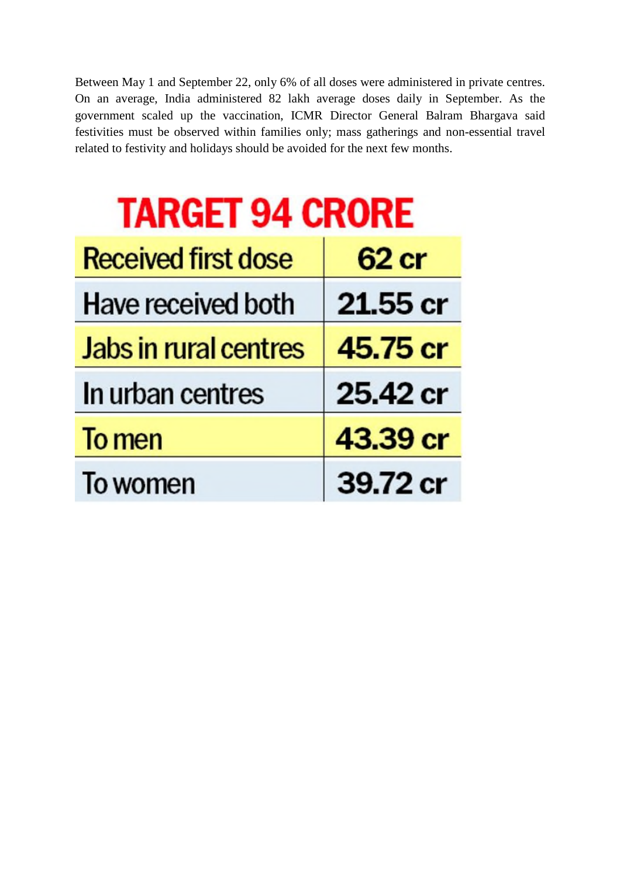Between May 1 and September 22, only 6% of all doses were administered in private centres. On an average, India administered 82 lakh average doses daily in September. As the government scaled up the vaccination, ICMR Director General Balram Bhargava said festivities must be observed within families only; mass gatherings and non-essential travel related to festivity and holidays should be avoided for the next few months.

| <b>TARGET 94 CRORE</b> |  |  |
|------------------------|--|--|
|                        |  |  |

| <b>Received first dose</b>   | 62 cr    |
|------------------------------|----------|
| Have received both           | 21.55 cr |
| <b>Jabs in rural centres</b> | 45.75 cr |
| In urban centres             | 25.42 cr |
| To men                       | 43.39 cr |
| To women                     | 39.72 cr |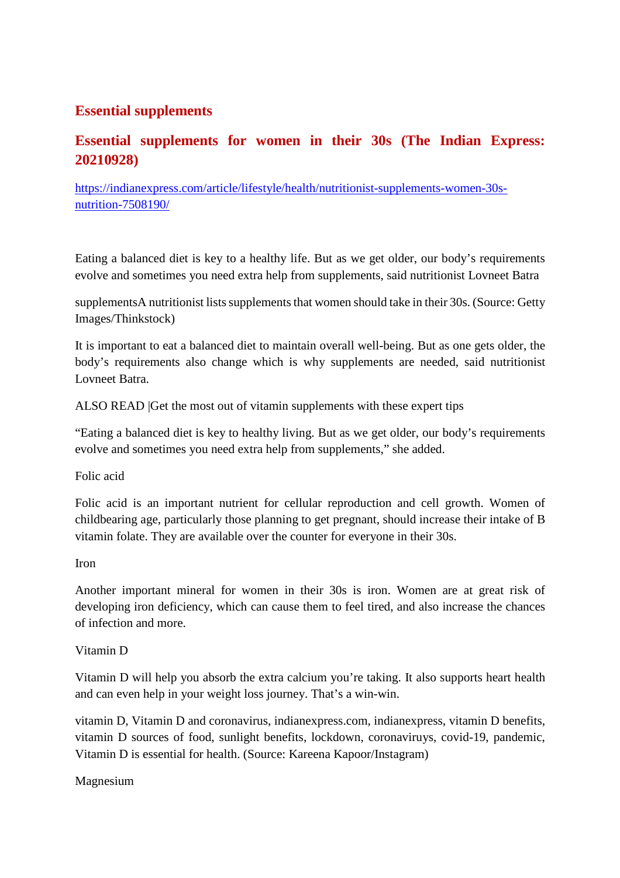### **Essential supplements**

### **Essential supplements for women in their 30s (The Indian Express: 20210928)**

https://indianexpress.com/article/lifestyle/health/nutritionist-supplements-women-30snutrition-7508190/

Eating a balanced diet is key to a healthy life. But as we get older, our body's requirements evolve and sometimes you need extra help from supplements, said nutritionist Lovneet Batra

supplementsA nutritionist lists supplements that women should take in their 30s. (Source: Getty Images/Thinkstock)

It is important to eat a balanced diet to maintain overall well-being. But as one gets older, the body's requirements also change which is why supplements are needed, said nutritionist Lovneet Batra.

ALSO READ |Get the most out of vitamin supplements with these expert tips

"Eating a balanced diet is key to healthy living. But as we get older, our body's requirements evolve and sometimes you need extra help from supplements," she added.

Folic acid

Folic acid is an important nutrient for cellular reproduction and cell growth. Women of childbearing age, particularly those planning to get pregnant, should increase their intake of B vitamin folate. They are available over the counter for everyone in their 30s.

Iron

Another important mineral for women in their 30s is iron. Women are at great risk of developing iron deficiency, which can cause them to feel tired, and also increase the chances of infection and more.

Vitamin D

Vitamin D will help you absorb the extra calcium you're taking. It also supports heart health and can even help in your weight loss journey. That's a win-win.

vitamin D, Vitamin D and coronavirus, indianexpress.com, indianexpress, vitamin D benefits, vitamin D sources of food, sunlight benefits, lockdown, coronaviruys, covid-19, pandemic, Vitamin D is essential for health. (Source: Kareena Kapoor/Instagram)

Magnesium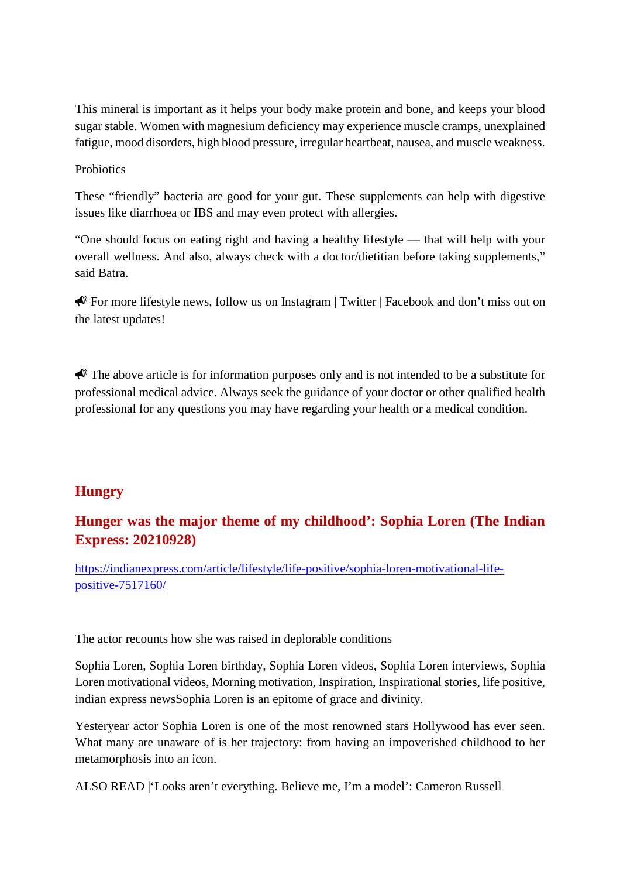This mineral is important as it helps your body make protein and bone, and keeps your blood sugar stable. Women with magnesium deficiency may experience muscle cramps, unexplained fatigue, mood disorders, high blood pressure, irregular heartbeat, nausea, and muscle weakness.

**Probiotics** 

These "friendly" bacteria are good for your gut. These supplements can help with digestive issues like diarrhoea or IBS and may even protect with allergies.

"One should focus on eating right and having a healthy lifestyle — that will help with your overall wellness. And also, always check with a doctor/dietitian before taking supplements," said Batra.

For more lifestyle news, follow us on Instagram | Twitter | Facebook and don't miss out on the latest updates!

 $\bigotimes$  The above article is for information purposes only and is not intended to be a substitute for professional medical advice. Always seek the guidance of your doctor or other qualified health professional for any questions you may have regarding your health or a medical condition.

### **Hungry**

### **Hunger was the major theme of my childhood': Sophia Loren (The Indian Express: 20210928)**

https://indianexpress.com/article/lifestyle/life-positive/sophia-loren-motivational-lifepositive-7517160/

The actor recounts how she was raised in deplorable conditions

Sophia Loren, Sophia Loren birthday, Sophia Loren videos, Sophia Loren interviews, Sophia Loren motivational videos, Morning motivation, Inspiration, Inspirational stories, life positive, indian express newsSophia Loren is an epitome of grace and divinity.

Yesteryear actor Sophia Loren is one of the most renowned stars Hollywood has ever seen. What many are unaware of is her trajectory: from having an impoverished childhood to her metamorphosis into an icon.

ALSO READ |'Looks aren't everything. Believe me, I'm a model': Cameron Russell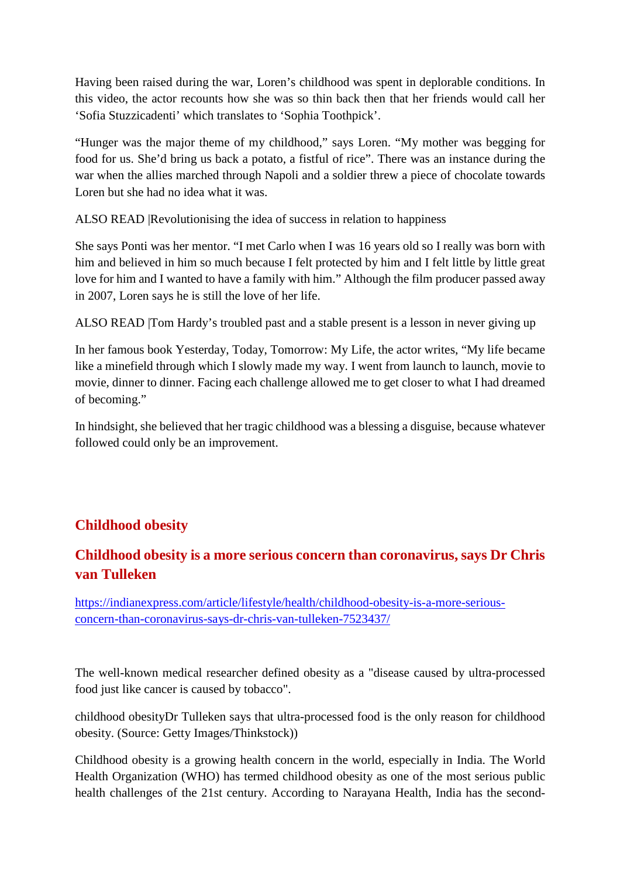Having been raised during the war, Loren's childhood was spent in deplorable conditions. In this video, the actor recounts how she was so thin back then that her friends would call her 'Sofia Stuzzicadenti' which translates to 'Sophia Toothpick'.

"Hunger was the major theme of my childhood," says Loren. "My mother was begging for food for us. She'd bring us back a potato, a fistful of rice". There was an instance during the war when the allies marched through Napoli and a soldier threw a piece of chocolate towards Loren but she had no idea what it was.

ALSO READ |Revolutionising the idea of success in relation to happiness

She says Ponti was her mentor. "I met Carlo when I was 16 years old so I really was born with him and believed in him so much because I felt protected by him and I felt little by little great love for him and I wanted to have a family with him." Although the film producer passed away in 2007, Loren says he is still the love of her life.

ALSO READ |Tom Hardy's troubled past and a stable present is a lesson in never giving up

In her famous book Yesterday, Today, Tomorrow: My Life, the actor writes, "My life became like a minefield through which I slowly made my way. I went from launch to launch, movie to movie, dinner to dinner. Facing each challenge allowed me to get closer to what I had dreamed of becoming."

In hindsight, she believed that her tragic childhood was a blessing a disguise, because whatever followed could only be an improvement.

### **Childhood obesity**

### **Childhood obesity is a more serious concern than coronavirus, says Dr Chris van Tulleken**

https://indianexpress.com/article/lifestyle/health/childhood-obesity-is-a-more-seriousconcern-than-coronavirus-says-dr-chris-van-tulleken-7523437/

The well-known medical researcher defined obesity as a "disease caused by ultra-processed food just like cancer is caused by tobacco".

childhood obesityDr Tulleken says that ultra-processed food is the only reason for childhood obesity. (Source: Getty Images/Thinkstock))

Childhood obesity is a growing health concern in the world, especially in India. The World Health Organization (WHO) has termed childhood obesity as one of the most serious public health challenges of the 21st century. According to Narayana Health, India has the second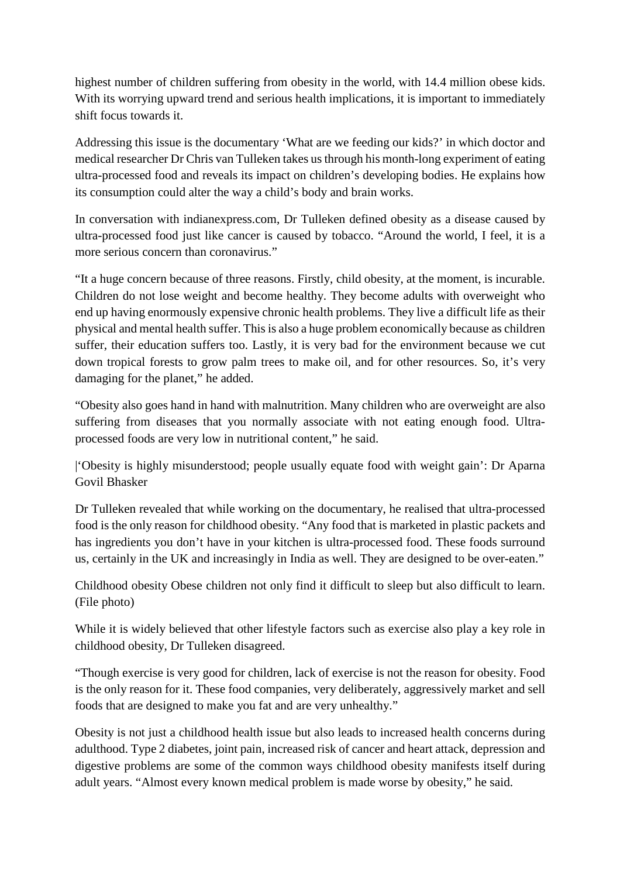highest number of children suffering from obesity in the world, with 14.4 million obese kids. With its worrying upward trend and serious health implications, it is important to immediately shift focus towards it.

Addressing this issue is the documentary 'What are we feeding our kids?' in which doctor and medical researcher Dr Chris van Tulleken takes us through his month-long experiment of eating ultra-processed food and reveals its impact on children's developing bodies. He explains how its consumption could alter the way a child's body and brain works.

In conversation with indianexpress.com, Dr Tulleken defined obesity as a disease caused by ultra-processed food just like cancer is caused by tobacco. "Around the world, I feel, it is a more serious concern than coronavirus."

"It a huge concern because of three reasons. Firstly, child obesity, at the moment, is incurable. Children do not lose weight and become healthy. They become adults with overweight who end up having enormously expensive chronic health problems. They live a difficult life as their physical and mental health suffer. This is also a huge problem economically because as children suffer, their education suffers too. Lastly, it is very bad for the environment because we cut down tropical forests to grow palm trees to make oil, and for other resources. So, it's very damaging for the planet," he added.

"Obesity also goes hand in hand with malnutrition. Many children who are overweight are also suffering from diseases that you normally associate with not eating enough food. Ultraprocessed foods are very low in nutritional content," he said.

|'Obesity is highly misunderstood; people usually equate food with weight gain': Dr Aparna Govil Bhasker

Dr Tulleken revealed that while working on the documentary, he realised that ultra-processed food is the only reason for childhood obesity. "Any food that is marketed in plastic packets and has ingredients you don't have in your kitchen is ultra-processed food. These foods surround us, certainly in the UK and increasingly in India as well. They are designed to be over-eaten."

Childhood obesity Obese children not only find it difficult to sleep but also difficult to learn. (File photo)

While it is widely believed that other lifestyle factors such as exercise also play a key role in childhood obesity, Dr Tulleken disagreed.

"Though exercise is very good for children, lack of exercise is not the reason for obesity. Food is the only reason for it. These food companies, very deliberately, aggressively market and sell foods that are designed to make you fat and are very unhealthy."

Obesity is not just a childhood health issue but also leads to increased health concerns during adulthood. Type 2 diabetes, joint pain, increased risk of cancer and heart attack, depression and digestive problems are some of the common ways childhood obesity manifests itself during adult years. "Almost every known medical problem is made worse by obesity," he said.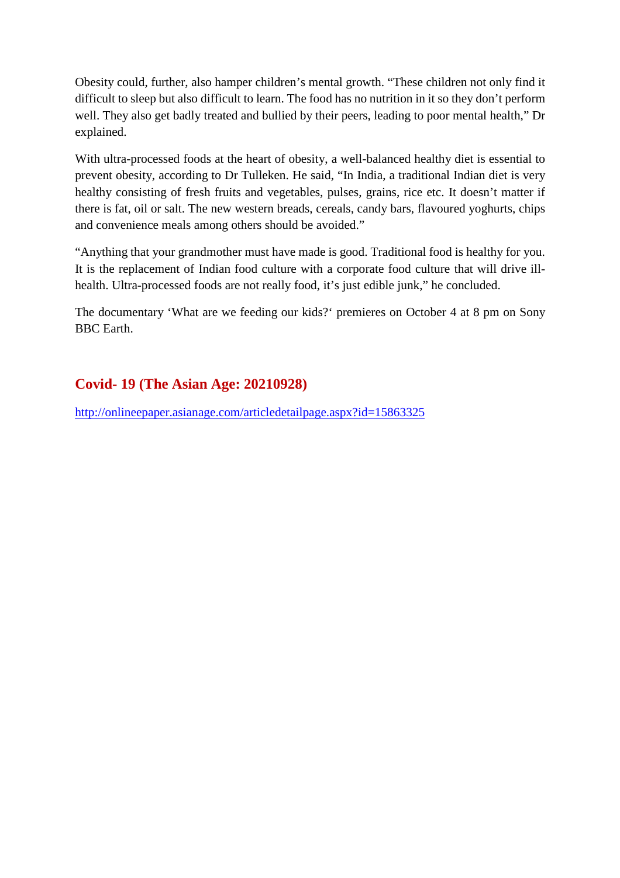Obesity could, further, also hamper children's mental growth. "These children not only find it difficult to sleep but also difficult to learn. The food has no nutrition in it so they don't perform well. They also get badly treated and bullied by their peers, leading to poor mental health," Dr explained.

With ultra-processed foods at the heart of obesity, a well-balanced healthy diet is essential to prevent obesity, according to Dr Tulleken. He said, "In India, a traditional Indian diet is very healthy consisting of fresh fruits and vegetables, pulses, grains, rice etc. It doesn't matter if there is fat, oil or salt. The new western breads, cereals, candy bars, flavoured yoghurts, chips and convenience meals among others should be avoided."

"Anything that your grandmother must have made is good. Traditional food is healthy for you. It is the replacement of Indian food culture with a corporate food culture that will drive illhealth. Ultra-processed foods are not really food, it's just edible junk," he concluded.

The documentary 'What are we feeding our kids?' premieres on October 4 at 8 pm on Sony BBC Earth.

### **Covid- 19 (The Asian Age: 20210928)**

http://onlineepaper.asianage.com/articledetailpage.aspx?id=15863325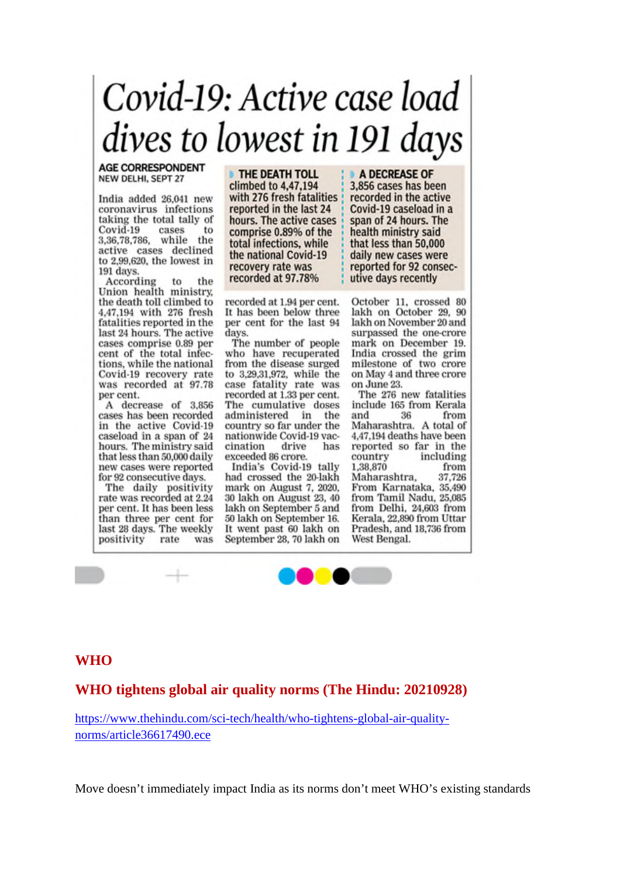# Covid-19: Active case load dives to lowest in 191 days

**AGE CORRESPONDENT** NEW DELHI, SEPT 27

India added 26,041 new coronavirus infections taking the total tally of Covid-19 cases to 3,36,78,786, while the active cases declined to 2,99,620, the lowest in 191 days.

According to the According to the<br>Union health ministry, the death toll climbed to 4,47,194 with 276 fresh fatalities reported in the last 24 hours. The active cases comprise 0.89 per cent of the total infections, while the national Covid-19 recovery rate was recorded at 97.78 per cent.

A decrease of 3,856 cases has been recorded in the active Covid-19 caseload in a span of 24 hours. The ministry said that less than 50,000 daily new cases were reported for 92 consecutive days.

The daily positivity rate was recorded at 2.24 per cent. It has been less than three per cent for last 28 days. The weekly positivity rate was

THE DEATH TOLL climbed to 4,47,194 with 276 fresh fatalities reported in the last 24 hours. The active cases comprise 0.89% of the total infections, while the national Covid-19 recovery rate was recorded at 97.78%

recorded at 1.94 per cent. It has been below three per cent for the last 94 days.

The number of people who have recuperated from the disease surged to 3,29,31,972, while the case fatality rate was recorded at 1.33 per cent. The cumulative doses administered in the country so far under the nationwide Covid-19 vaccination drive has exceeded 86 crore.

India's Covid-19 tally had crossed the 20-lakh mark on August 7, 2020. 30 lakh on August 23, 40 lakh on September 5 and 50 lakh on September 16. It went past 60 lakh on September 28, 70 lakh on A DECREASE OF 3,856 cases has been recorded in the active Covid-19 caseload in a span of 24 hours. The health ministry said that less than 50,000 daily new cases were reported for 92 consecutive days recently

October 11, crossed 80 lakh on October 29, 90 lakh on November 20 and surpassed the one-crore mark on December 19. India crossed the grim milestone of two crore on May 4 and three crore on June 23.

The 276 new fatalities include 165 from Kerala 36 and from Maharashtra. A total of 4,47,194 deaths have been reported so far in the country including 1,38,870 from 37,726 Maharashtra. From Karnataka, 35,490 from Tamil Nadu, 25,085 from Delhi, 24,603 from Kerala, 22,890 from Uttar Pradesh, and 18,736 from West Bengal.

### **WHO**

### **WHO tightens global air quality norms (The Hindu: 20210928)**

https://www.thehindu.com/sci-tech/health/who-tightens-global-air-qualitynorms/article36617490.ece

Move doesn't immediately impact India as its norms don't meet WHO's existing standards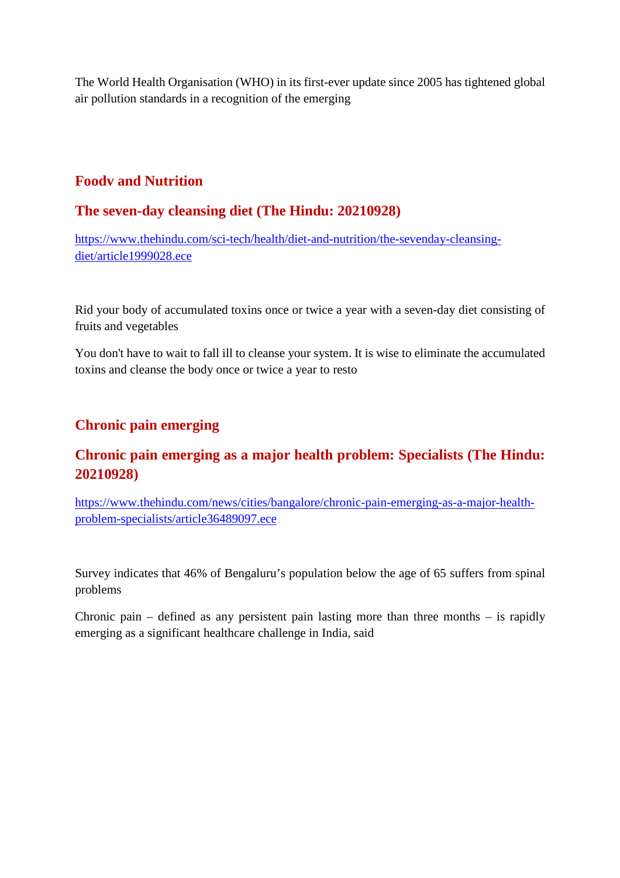The World Health Organisation (WHO) in its first-ever update since 2005 has tightened global air pollution standards in a recognition of the emerging

### **Foodv and Nutrition**

### **The seven-day cleansing diet (The Hindu: 20210928)**

https://www.thehindu.com/sci-tech/health/diet-and-nutrition/the-sevenday-cleansingdiet/article1999028.ece

Rid your body of accumulated toxins once or twice a year with a seven-day diet consisting of fruits and vegetables

You don't have to wait to fall ill to cleanse your system. It is wise to eliminate the accumulated toxins and cleanse the body once or twice a year to resto

### **Chronic pain emerging**

### **Chronic pain emerging as a major health problem: Specialists (The Hindu: 20210928)**

https://www.thehindu.com/news/cities/bangalore/chronic-pain-emerging-as-a-major-healthproblem-specialists/article36489097.ece

Survey indicates that 46% of Bengaluru's population below the age of 65 suffers from spinal problems

Chronic pain – defined as any persistent pain lasting more than three months – is rapidly emerging as a significant healthcare challenge in India, said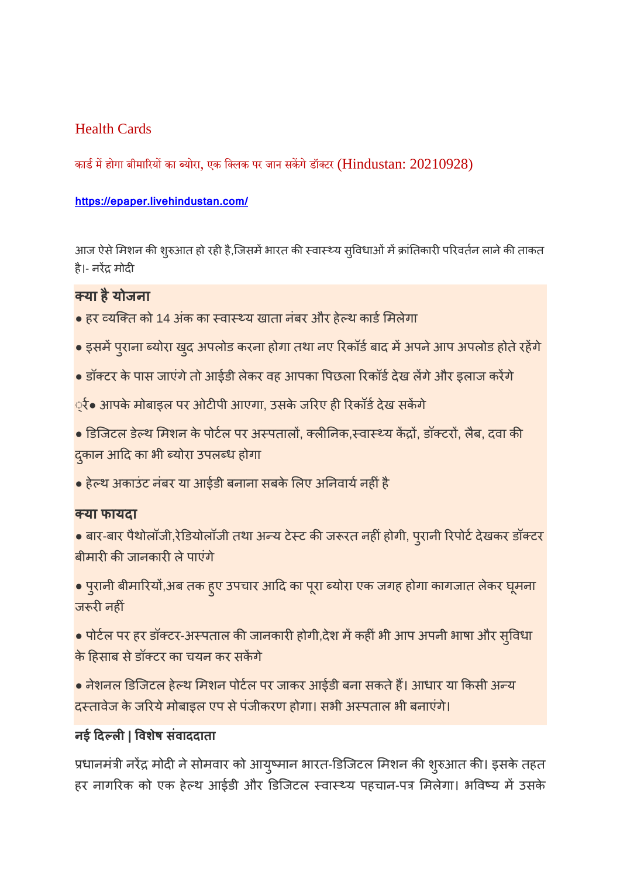### Health Cards

कार्ड में होगा बीमारियों का ब्योरा, एक क्लिक पर जान सकेंगे डॉक्टर (Hindustan: 20210928)

### **https://epaper.livehindustan.com/**

आज ऐसे मिशन की शुरुआत हो रही है,जिसमें भारत की स्वास्थ्य सुविधाओं में क्रांतिकारी परिवर्तन लाने की ताकत है।- नरेंद्र मोदी

### **या हैयोजना**

- हर व्यक्ति को 14 अंक का स्वास्थ्य खाता नंबर और हेल्थ कार्ड मिलेगा
- इसमें पुराना ब्योरा खुद अपलोड करना होगा तथा नए रिकॉर्ड बाद में अपने आप अपलोड होते रहेंगे
- डॉक्टर के पास जाएंगे तो आईडी लेकर वह आपका पिछला रिकॉर्ड देख लेंगे और इलाज करेंगे

्रे• आपके मोबाइल पर ओटीपी आएगा, उसके जरिए ही रिकॉर्ड देख सकेंगे

- डिजिटल डेल्थ मिशन के पोर्टल पर अस्पतालों, क्लीनिक,स्वास्थ्य केंद्रों, डॉक्टरों, लैब, दवा की दुकान आदि का भी ब्योरा उपलब्ध होगा
- हेल्थ अकाउंट नंबर या आईडी बनाना सबके लिए अनिवार्य नहीं है

### **या फायदा**

- बार-बार पैथोलॉजी,रेडियोलॉजी तथा अन्य टेस्ट की जरूरत नहीं होगी, पुरानी रिपोर्ट देखकर डॉक्टर बीमारी की जानकारी ले पाएंगे
- पुरानी बीमारियों,अब तक हुए उपचार आदि का पूरा ब्योरा एक जगह होगा कागजात लेकर घूमना जरूरी नहीं
- पोर्टल पर हर डॉक्टर-अस्पताल की जानकारी होगी,देश में कहीं भी आप अपनी भाषा और सुविधा के हसाब सेडॉटर का चयन कर सकगे
- नेशनल डिजटल हेथ मशन पोटल पर जाकर आईडी बना सकतेह। आधार या कसी अय दस्तावेज के जरिये मोबाइल एप से पंजीकरण होगा। सभी अस्पताल भी बनाएंगे।

### **नई दल| वशषे संवाददाता**

प्रधानमंत्री नरेंद्र मोदी ने सोमवार को आयुष्मान भारत-डिजिटल मिशन की शुरुआत की। इसके तहत हर नागरिक को एक हेल्थ आईडी और डिजिटल स्वास्थ्य पहचान-पत्र मिलेगा। भविष्य में उसके